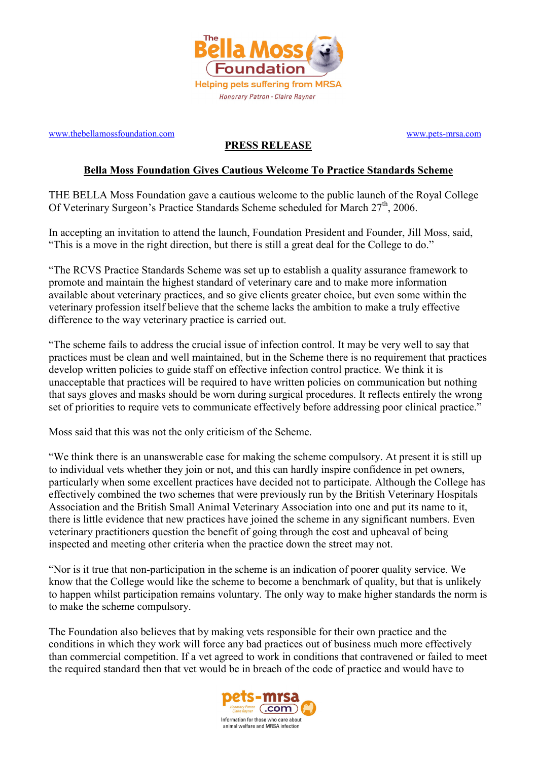

www.thebellamossfoundation.com www.pets-mrsa.com

## PRESS RELEASE

## Bella Moss Foundation Gives Cautious Welcome To Practice Standards Scheme

THE BELLA Moss Foundation gave a cautious welcome to the public launch of the Royal College Of Veterinary Surgeon's Practice Standards Scheme scheduled for March 27<sup>th</sup>, 2006.

In accepting an invitation to attend the launch, Foundation President and Founder, Jill Moss, said, "This is a move in the right direction, but there is still a great deal for the College to do."

"The RCVS Practice Standards Scheme was set up to establish a quality assurance framework to promote and maintain the highest standard of veterinary care and to make more information available about veterinary practices, and so give clients greater choice, but even some within the veterinary profession itself believe that the scheme lacks the ambition to make a truly effective difference to the way veterinary practice is carried out.

"The scheme fails to address the crucial issue of infection control. It may be very well to say that practices must be clean and well maintained, but in the Scheme there is no requirement that practices develop written policies to guide staff on effective infection control practice. We think it is unacceptable that practices will be required to have written policies on communication but nothing that says gloves and masks should be worn during surgical procedures. It reflects entirely the wrong set of priorities to require vets to communicate effectively before addressing poor clinical practice."

Moss said that this was not the only criticism of the Scheme.

"We think there is an unanswerable case for making the scheme compulsory. At present it is still up to individual vets whether they join or not, and this can hardly inspire confidence in pet owners, particularly when some excellent practices have decided not to participate. Although the College has effectively combined the two schemes that were previously run by the British Veterinary Hospitals Association and the British Small Animal Veterinary Association into one and put its name to it, there is little evidence that new practices have joined the scheme in any significant numbers. Even veterinary practitioners question the benefit of going through the cost and upheaval of being inspected and meeting other criteria when the practice down the street may not.

"Nor is it true that non-participation in the scheme is an indication of poorer quality service. We know that the College would like the scheme to become a benchmark of quality, but that is unlikely to happen whilst participation remains voluntary. The only way to make higher standards the norm is to make the scheme compulsory.

The Foundation also believes that by making vets responsible for their own practice and the conditions in which they work will force any bad practices out of business much more effectively than commercial competition. If a vet agreed to work in conditions that contravened or failed to meet the required standard then that vet would be in breach of the code of practice and would have to